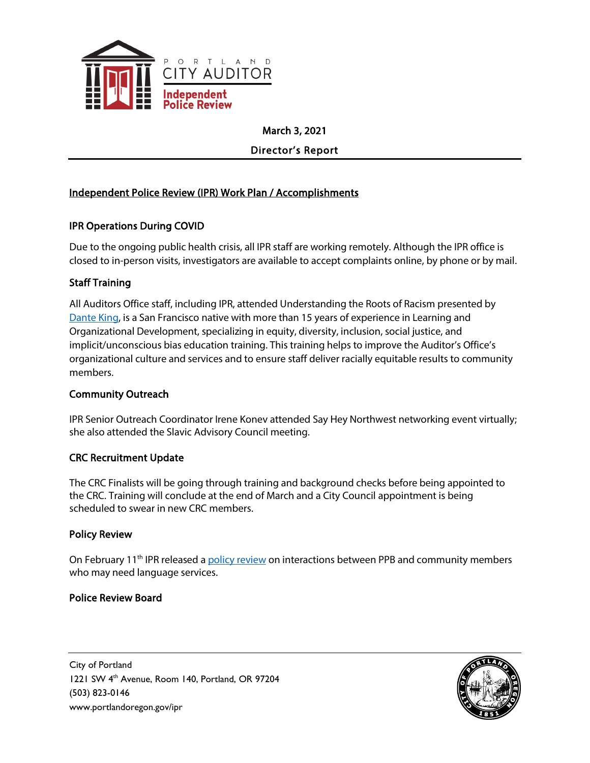

March 3, 2021

Director's Report

# Independent Police Review (IPR) Work Plan / Accomplishments

# IPR Operations During COVID

Due to the ongoing public health crisis, all IPR staff are working remotely. Although the IPR office is closed to in-person visits, investigators are available to accept complaints online, by phone or by mail.

# Staff Training

All Auditors Office staff, including IPR, attended Understanding the Roots of Racism presented by [Dante King,](https://www.danteking.com/) is a San Francisco native with more than 15 years of experience in Learning and Organizational Development, specializing in equity, diversity, inclusion, social justice, and implicit/unconscious bias education training. This training helps to improve the Auditor's Office's organizational culture and services and to ensure staff deliver racially equitable results to community members.

#### Community Outreach

IPR Senior Outreach Coordinator Irene Konev attended Say Hey Northwest networking event virtually; she also attended the Slavic Advisory Council meeting.

#### CRC Recruitment Update

The CRC Finalists will be going through training and background checks before being appointed to the CRC. Training will conclude at the end of March and a City Council appointment is being scheduled to swear in new CRC members.

# Policy Review

On February 11<sup>th</sup> IPR released a [policy review](https://www.portland.gov/ipr/news/2021/2/11/portland-police-needs-ensure-language-services-are-equitable-and-consistent) on interactions between PPB and community members who may need language services.

# Police Review Board

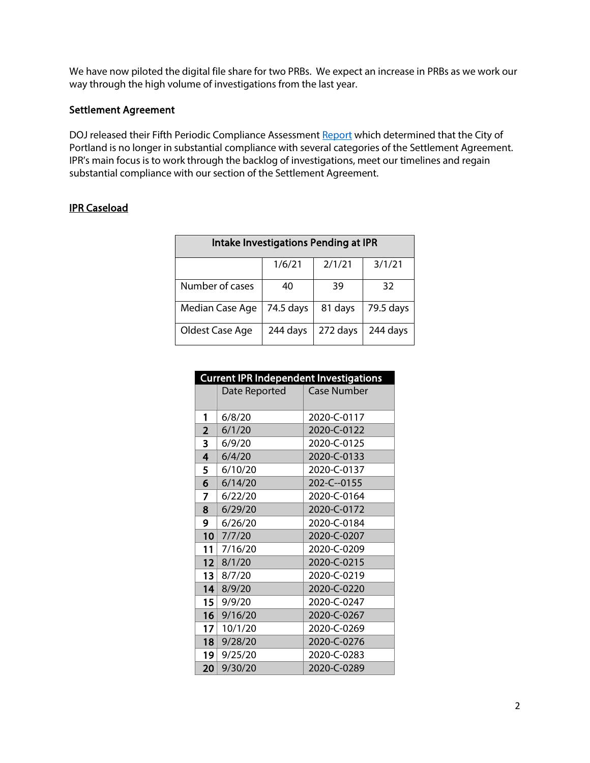We have now piloted the digital file share for two PRBs. We expect an increase in PRBs as we work our way through the high volume of investigations from the last year.

#### Settlement Agreement

DOJ released their Fifth Periodic Compliance Assessmen[t Report](https://beta.documentcloud.org/documents/20476946-dojcompliancereport21121) which determined that the City of Portland is no longer in substantial compliance with several categories of the Settlement Agreement. IPR's main focus is to work through the backlog of investigations, meet our timelines and regain substantial compliance with our section of the Settlement Agreement.

#### IPR Caseload

| Intake Investigations Pending at IPR |           |          |           |
|--------------------------------------|-----------|----------|-----------|
|                                      | 1/6/21    | 2/1/21   | 3/1/21    |
| Number of cases                      | 40        | 39       | 32        |
| Median Case Age                      | 74.5 days | 81 days  | 79.5 days |
| Oldest Case Age                      | 244 days  | 272 days | 244 days  |

| <b>Current IPR Independent Investigations</b> |               |             |  |  |
|-----------------------------------------------|---------------|-------------|--|--|
|                                               | Date Reported | Case Number |  |  |
|                                               |               |             |  |  |
| 1                                             | 6/8/20        | 2020-C-0117 |  |  |
| $\overline{\mathbf{2}}$                       | 6/1/20        | 2020-C-0122 |  |  |
| 3                                             | 6/9/20        | 2020-C-0125 |  |  |
| 4                                             | 6/4/20        | 2020-C-0133 |  |  |
| 5                                             | 6/10/20       | 2020-C-0137 |  |  |
| 6                                             | 6/14/20       | 202-C--0155 |  |  |
| 7                                             | 6/22/20       | 2020-C-0164 |  |  |
| 8                                             | 6/29/20       | 2020-C-0172 |  |  |
| 9                                             | 6/26/20       | 2020-C-0184 |  |  |
| 10                                            | 7/7/20        | 2020-C-0207 |  |  |
| 11                                            | 7/16/20       | 2020-C-0209 |  |  |
| 12                                            | 8/1/20        | 2020-C-0215 |  |  |
| 13                                            | 8/7/20        | 2020-C-0219 |  |  |
| 14                                            | 8/9/20        | 2020-C-0220 |  |  |
| 15 <sup>1</sup>                               | 9/9/20        | 2020-C-0247 |  |  |
| 16                                            | 9/16/20       | 2020-C-0267 |  |  |
| 17 <sup>1</sup>                               | 10/1/20       | 2020-C-0269 |  |  |
| 18                                            | 9/28/20       | 2020-C-0276 |  |  |
| 19                                            | 9/25/20       | 2020-C-0283 |  |  |
| 20                                            | 9/30/20       | 2020-C-0289 |  |  |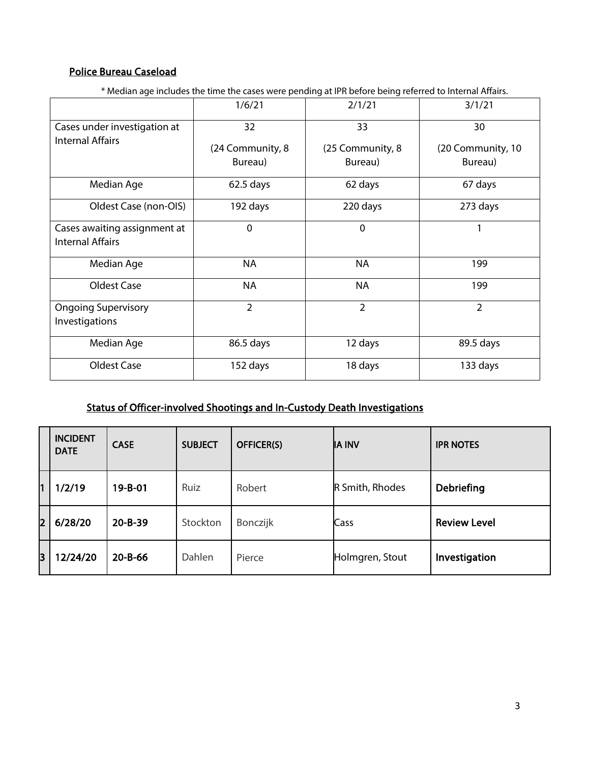# Police Bureau Caseload

\* Median age includes the time the cases were pending at IPR before being referred to Internal Affairs.

|                                                         | 1/6/21           | 2/1/21           | 3/1/21            |
|---------------------------------------------------------|------------------|------------------|-------------------|
| Cases under investigation at<br><b>Internal Affairs</b> | 32               | 33               | 30                |
|                                                         | (24 Community, 8 | (25 Community, 8 | (20 Community, 10 |
|                                                         | Bureau)          | Bureau)          | Bureau)           |
| Median Age                                              | $62.5$ days      | 62 days          | 67 days           |
| Oldest Case (non-OIS)                                   | 192 days         | 220 days         | 273 days          |
| Cases awaiting assignment at<br><b>Internal Affairs</b> | $\mathbf 0$      | $\mathbf 0$      | 1                 |
| Median Age                                              | <b>NA</b>        | <b>NA</b>        | 199               |
| Oldest Case                                             | <b>NA</b>        | <b>NA</b>        | 199               |
| <b>Ongoing Supervisory</b><br>Investigations            | $\overline{2}$   | $\overline{2}$   | $\overline{2}$    |
| Median Age                                              | 86.5 days        | 12 days          | 89.5 days         |
| Oldest Case                                             | 152 days         | 18 days          | 133 days          |

# Status of Officer-involved Shootings and In-Custody Death Investigations

|    | <b>INCIDENT</b><br><b>DATE</b> | <b>CASE</b>   | <b>SUBJECT</b> | <b>OFFICER(S)</b> | <b>IA INV</b>   | <b>IPR NOTES</b>    |
|----|--------------------------------|---------------|----------------|-------------------|-----------------|---------------------|
| l1 | 1/2/19                         | 19-B-01       | Ruiz           | Robert            | R Smith, Rhodes | <b>Debriefing</b>   |
| 2  | 6/28/20                        | $20 - B - 39$ | Stockton       | Bonczijk          | Cass            | <b>Review Level</b> |
| 3  | 12/24/20                       | $20 - B - 66$ | Dahlen         | Pierce            | Holmgren, Stout | Investigation       |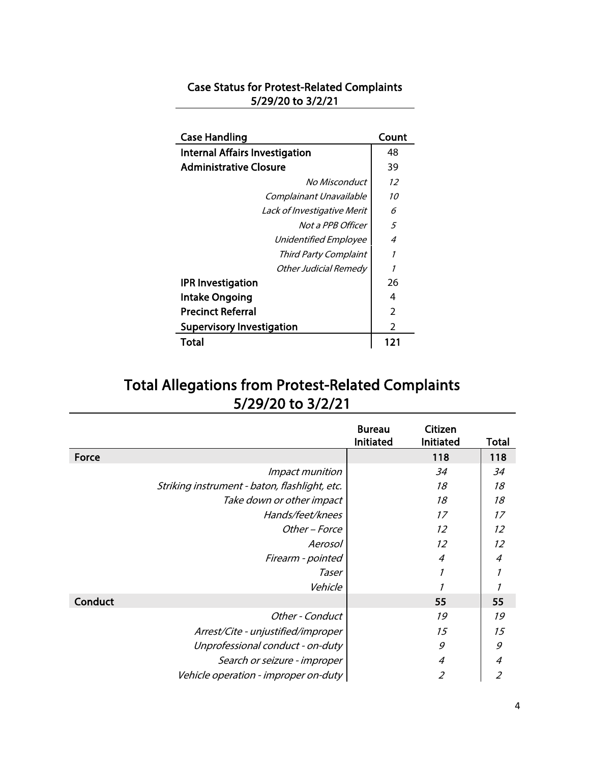# Case Status for Protest-Related Complaints 5/29/20 to 3/2/21

| <b>Case Handling</b>                  | Count          |
|---------------------------------------|----------------|
| <b>Internal Affairs Investigation</b> | 48             |
| <b>Administrative Closure</b>         | 39             |
| No Misconduct                         | 12             |
| Complainant Unavailable               | 10             |
| Lack of Investigative Merit           | 6              |
| Not a PPB Officer                     | 5              |
| Unidentified Employee                 | 4              |
| Third Party Complaint                 | 1              |
| Other Judicial Remedy                 | 1              |
| <b>IPR Investigation</b>              | 26             |
| <b>Intake Ongoing</b>                 | 4              |
| <b>Precinct Referral</b>              | $\overline{2}$ |
| <b>Supervisory Investigation</b>      | $\mathcal{P}$  |
| Total                                 | 121            |

# Total Allegations from Protest-Related Complaints 5/29/20 to 3/2/21

|                                               | <b>Bureau</b><br>Initiated | Citizen<br>Initiated | Total          |
|-----------------------------------------------|----------------------------|----------------------|----------------|
| Force                                         |                            | 118                  | 118            |
| Impact munition                               |                            | 34                   | 34             |
| Striking instrument - baton, flashlight, etc. |                            | 18                   | 18             |
| Take down or other impact                     |                            | 18                   | 18             |
| Hands/feet/knees                              |                            | 17                   | 17             |
| Other – Force                                 |                            | 12                   | 12             |
| Aerosol                                       |                            | 12                   | 12             |
| Firearm - pointed                             |                            | 4                    | $\overline{4}$ |
| Taser                                         |                            | 1                    | 1              |
| Vehicle                                       |                            |                      |                |
| Conduct                                       |                            | 55                   | 55             |
| Other - Conduct                               |                            | 19                   | 19             |
| Arrest/Cite - unjustified/improper            |                            | 15                   | 15             |
| Unprofessional conduct - on-duty              |                            | 9                    | 9              |
| Search or seizure - improper                  |                            | 4                    | $\overline{4}$ |
| Vehicle operation - improper on-duty          |                            | 2                    | $\overline{2}$ |